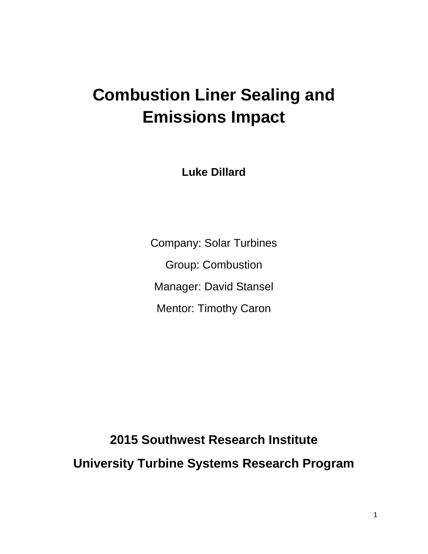# **Combustion Liner Sealing and Emissions Impact**

**Luke Dillard**

Company: Solar Turbines Group: Combustion Manager: David Stansel Mentor: Timothy Caron

**2015 Southwest Research Institute University Turbine Systems Research Program**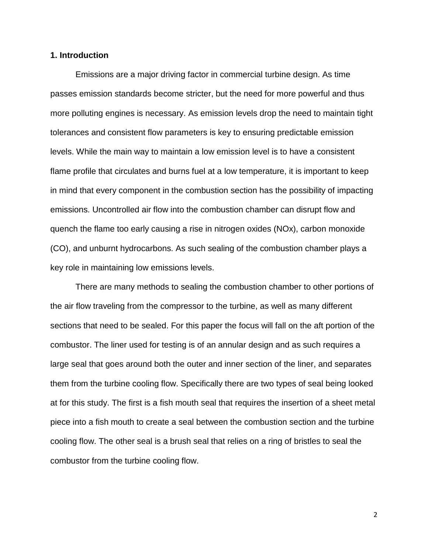## **1. Introduction**

Emissions are a major driving factor in commercial turbine design. As time passes emission standards become stricter, but the need for more powerful and thus more polluting engines is necessary. As emission levels drop the need to maintain tight tolerances and consistent flow parameters is key to ensuring predictable emission levels. While the main way to maintain a low emission level is to have a consistent flame profile that circulates and burns fuel at a low temperature, it is important to keep in mind that every component in the combustion section has the possibility of impacting emissions. Uncontrolled air flow into the combustion chamber can disrupt flow and quench the flame too early causing a rise in nitrogen oxides (NOx), carbon monoxide (CO), and unburnt hydrocarbons. As such sealing of the combustion chamber plays a key role in maintaining low emissions levels.

There are many methods to sealing the combustion chamber to other portions of the air flow traveling from the compressor to the turbine, as well as many different sections that need to be sealed. For this paper the focus will fall on the aft portion of the combustor. The liner used for testing is of an annular design and as such requires a large seal that goes around both the outer and inner section of the liner, and separates them from the turbine cooling flow. Specifically there are two types of seal being looked at for this study. The first is a fish mouth seal that requires the insertion of a sheet metal piece into a fish mouth to create a seal between the combustion section and the turbine cooling flow. The other seal is a brush seal that relies on a ring of bristles to seal the combustor from the turbine cooling flow.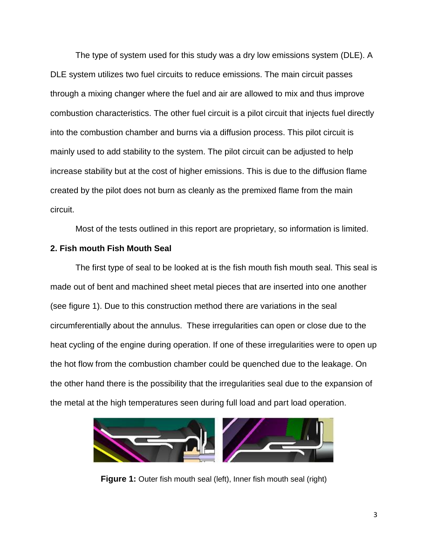The type of system used for this study was a dry low emissions system (DLE). A DLE system utilizes two fuel circuits to reduce emissions. The main circuit passes through a mixing changer where the fuel and air are allowed to mix and thus improve combustion characteristics. The other fuel circuit is a pilot circuit that injects fuel directly into the combustion chamber and burns via a diffusion process. This pilot circuit is mainly used to add stability to the system. The pilot circuit can be adjusted to help increase stability but at the cost of higher emissions. This is due to the diffusion flame created by the pilot does not burn as cleanly as the premixed flame from the main circuit.

Most of the tests outlined in this report are proprietary, so information is limited.

### **2. Fish mouth Fish Mouth Seal**

The first type of seal to be looked at is the fish mouth fish mouth seal. This seal is made out of bent and machined sheet metal pieces that are inserted into one another (see figure 1). Due to this construction method there are variations in the seal circumferentially about the annulus. These irregularities can open or close due to the heat cycling of the engine during operation. If one of these irregularities were to open up the hot flow from the combustion chamber could be quenched due to the leakage. On the other hand there is the possibility that the irregularities seal due to the expansion of the metal at the high temperatures seen during full load and part load operation.



**Figure 1:** Outer fish mouth seal (left), Inner fish mouth seal (right)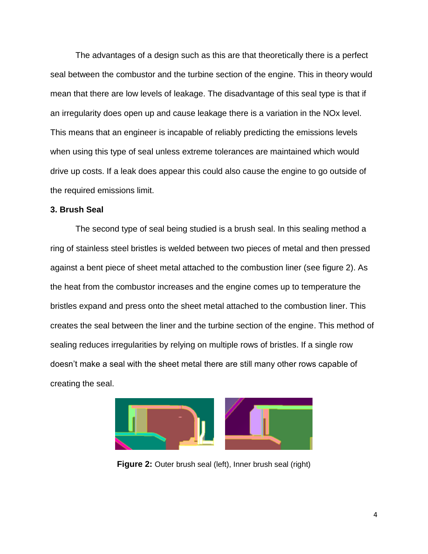The advantages of a design such as this are that theoretically there is a perfect seal between the combustor and the turbine section of the engine. This in theory would mean that there are low levels of leakage. The disadvantage of this seal type is that if an irregularity does open up and cause leakage there is a variation in the NOx level. This means that an engineer is incapable of reliably predicting the emissions levels when using this type of seal unless extreme tolerances are maintained which would drive up costs. If a leak does appear this could also cause the engine to go outside of the required emissions limit.

# **3. Brush Seal**

The second type of seal being studied is a brush seal. In this sealing method a ring of stainless steel bristles is welded between two pieces of metal and then pressed against a bent piece of sheet metal attached to the combustion liner (see figure 2). As the heat from the combustor increases and the engine comes up to temperature the bristles expand and press onto the sheet metal attached to the combustion liner. This creates the seal between the liner and the turbine section of the engine. This method of sealing reduces irregularities by relying on multiple rows of bristles. If a single row doesn't make a seal with the sheet metal there are still many other rows capable of creating the seal.



**Figure 2:** Outer brush seal (left), Inner brush seal (right)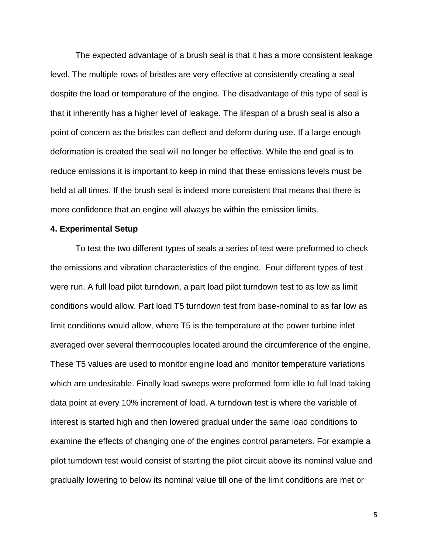The expected advantage of a brush seal is that it has a more consistent leakage level. The multiple rows of bristles are very effective at consistently creating a seal despite the load or temperature of the engine. The disadvantage of this type of seal is that it inherently has a higher level of leakage. The lifespan of a brush seal is also a point of concern as the bristles can deflect and deform during use. If a large enough deformation is created the seal will no longer be effective. While the end goal is to reduce emissions it is important to keep in mind that these emissions levels must be held at all times. If the brush seal is indeed more consistent that means that there is more confidence that an engine will always be within the emission limits.

#### **4. Experimental Setup**

To test the two different types of seals a series of test were preformed to check the emissions and vibration characteristics of the engine. Four different types of test were run. A full load pilot turndown, a part load pilot turndown test to as low as limit conditions would allow. Part load T5 turndown test from base-nominal to as far low as limit conditions would allow, where T5 is the temperature at the power turbine inlet averaged over several thermocouples located around the circumference of the engine. These T5 values are used to monitor engine load and monitor temperature variations which are undesirable. Finally load sweeps were preformed form idle to full load taking data point at every 10% increment of load. A turndown test is where the variable of interest is started high and then lowered gradual under the same load conditions to examine the effects of changing one of the engines control parameters. For example a pilot turndown test would consist of starting the pilot circuit above its nominal value and gradually lowering to below its nominal value till one of the limit conditions are met or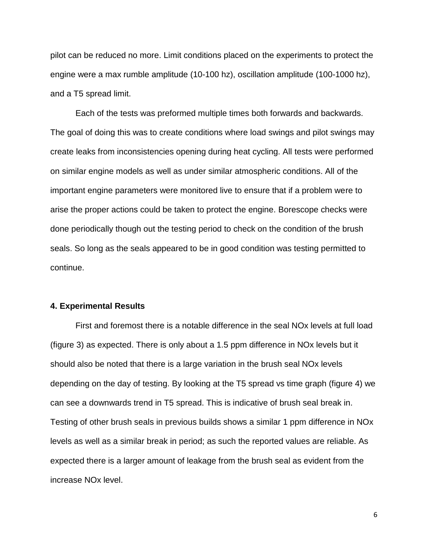pilot can be reduced no more. Limit conditions placed on the experiments to protect the engine were a max rumble amplitude (10-100 hz), oscillation amplitude (100-1000 hz), and a T5 spread limit.

Each of the tests was preformed multiple times both forwards and backwards. The goal of doing this was to create conditions where load swings and pilot swings may create leaks from inconsistencies opening during heat cycling. All tests were performed on similar engine models as well as under similar atmospheric conditions. All of the important engine parameters were monitored live to ensure that if a problem were to arise the proper actions could be taken to protect the engine. Borescope checks were done periodically though out the testing period to check on the condition of the brush seals. So long as the seals appeared to be in good condition was testing permitted to continue.

#### **4. Experimental Results**

First and foremost there is a notable difference in the seal NOx levels at full load (figure 3) as expected. There is only about a 1.5 ppm difference in NOx levels but it should also be noted that there is a large variation in the brush seal NOx levels depending on the day of testing. By looking at the T5 spread vs time graph (figure 4) we can see a downwards trend in T5 spread. This is indicative of brush seal break in. Testing of other brush seals in previous builds shows a similar 1 ppm difference in NOx levels as well as a similar break in period; as such the reported values are reliable. As expected there is a larger amount of leakage from the brush seal as evident from the increase NOx level.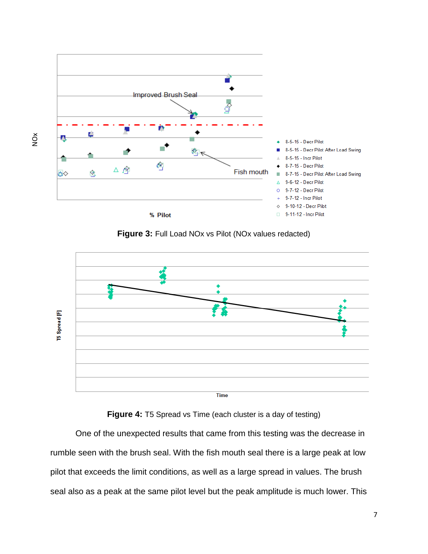

NOx

**Figure 3:** Full Load NOx vs Pilot (NOx values redacted)



**Figure 4:** T5 Spread vs Time (each cluster is a day of testing)

One of the unexpected results that came from this testing was the decrease in rumble seen with the brush seal. With the fish mouth seal there is a large peak at low pilot that exceeds the limit conditions, as well as a large spread in values. The brush seal also as a peak at the same pilot level but the peak amplitude is much lower. This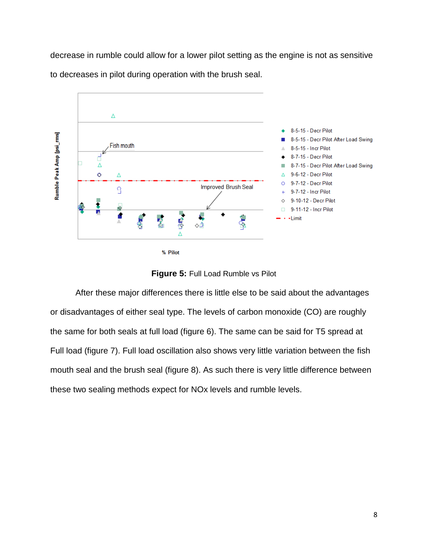decrease in rumble could allow for a lower pilot setting as the engine is not as sensitive to decreases in pilot during operation with the brush seal.





**Figure 5:** Full Load Rumble vs Pilot

After these major differences there is little else to be said about the advantages or disadvantages of either seal type. The levels of carbon monoxide (CO) are roughly the same for both seals at full load (figure 6). The same can be said for T5 spread at Full load (figure 7). Full load oscillation also shows very little variation between the fish mouth seal and the brush seal (figure 8). As such there is very little difference between these two sealing methods expect for NOx levels and rumble levels.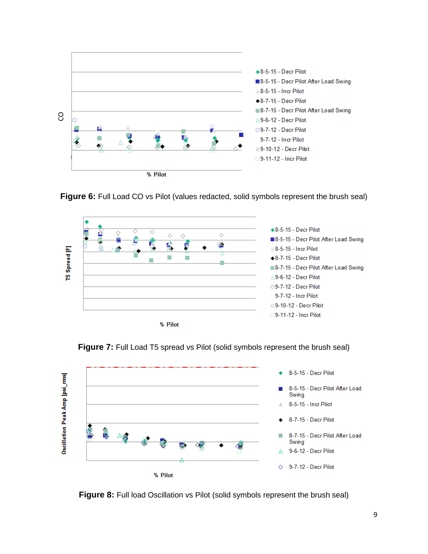









**Figure 8:** Full load Oscillation vs Pilot (solid symbols represent the brush seal)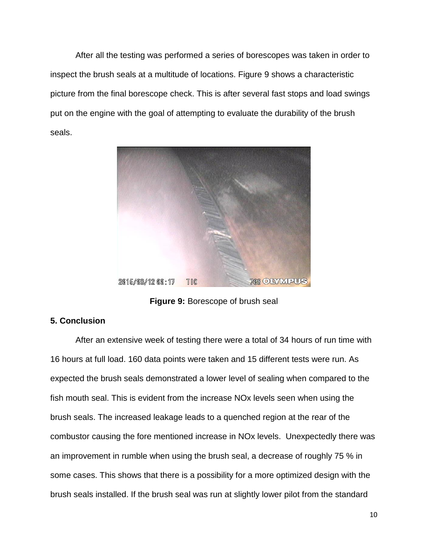After all the testing was performed a series of borescopes was taken in order to inspect the brush seals at a multitude of locations. Figure 9 shows a characteristic picture from the final borescope check. This is after several fast stops and load swings put on the engine with the goal of attempting to evaluate the durability of the brush seals.



**Figure 9:** Borescope of brush seal

# **5. Conclusion**

After an extensive week of testing there were a total of 34 hours of run time with 16 hours at full load. 160 data points were taken and 15 different tests were run. As expected the brush seals demonstrated a lower level of sealing when compared to the fish mouth seal. This is evident from the increase NOx levels seen when using the brush seals. The increased leakage leads to a quenched region at the rear of the combustor causing the fore mentioned increase in NOx levels. Unexpectedly there was an improvement in rumble when using the brush seal, a decrease of roughly 75 % in some cases. This shows that there is a possibility for a more optimized design with the brush seals installed. If the brush seal was run at slightly lower pilot from the standard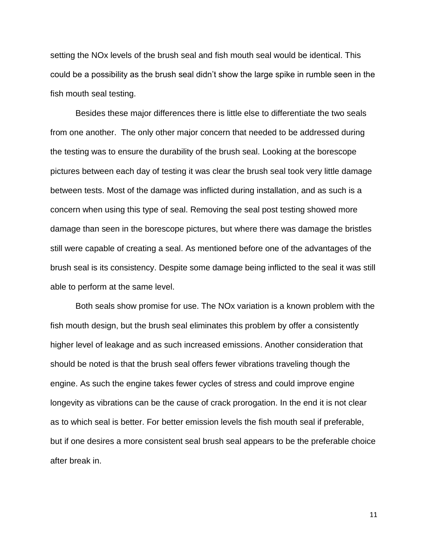setting the NOx levels of the brush seal and fish mouth seal would be identical. This could be a possibility as the brush seal didn't show the large spike in rumble seen in the fish mouth seal testing.

Besides these major differences there is little else to differentiate the two seals from one another. The only other major concern that needed to be addressed during the testing was to ensure the durability of the brush seal. Looking at the borescope pictures between each day of testing it was clear the brush seal took very little damage between tests. Most of the damage was inflicted during installation, and as such is a concern when using this type of seal. Removing the seal post testing showed more damage than seen in the borescope pictures, but where there was damage the bristles still were capable of creating a seal. As mentioned before one of the advantages of the brush seal is its consistency. Despite some damage being inflicted to the seal it was still able to perform at the same level.

Both seals show promise for use. The NOx variation is a known problem with the fish mouth design, but the brush seal eliminates this problem by offer a consistently higher level of leakage and as such increased emissions. Another consideration that should be noted is that the brush seal offers fewer vibrations traveling though the engine. As such the engine takes fewer cycles of stress and could improve engine longevity as vibrations can be the cause of crack prorogation. In the end it is not clear as to which seal is better. For better emission levels the fish mouth seal if preferable, but if one desires a more consistent seal brush seal appears to be the preferable choice after break in.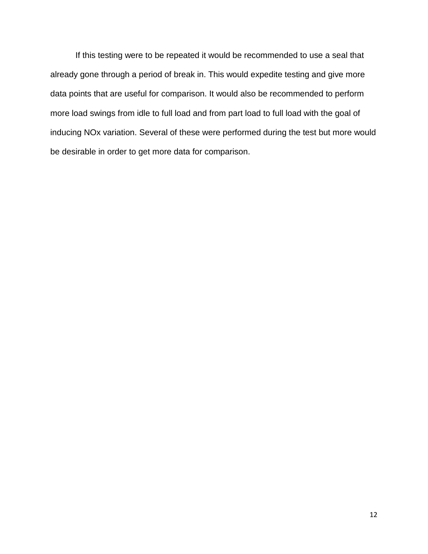If this testing were to be repeated it would be recommended to use a seal that already gone through a period of break in. This would expedite testing and give more data points that are useful for comparison. It would also be recommended to perform more load swings from idle to full load and from part load to full load with the goal of inducing NOx variation. Several of these were performed during the test but more would be desirable in order to get more data for comparison.